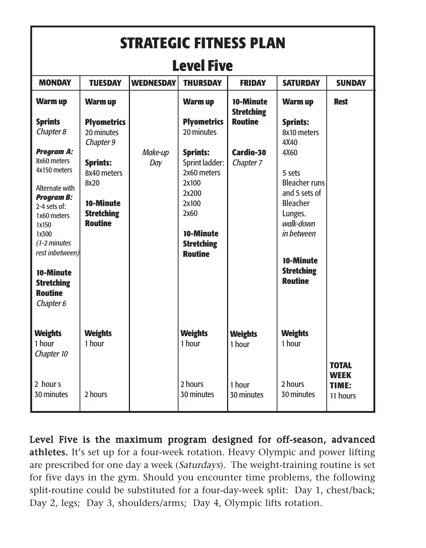| <b>STRATEGIC FITNESS PLAN</b>                                                                                                                                                                                                                |                                                                                            |                  |                                                                                                                                         |                                |                                                                                                                                                                      |                                                  |  |  |  |  |
|----------------------------------------------------------------------------------------------------------------------------------------------------------------------------------------------------------------------------------------------|--------------------------------------------------------------------------------------------|------------------|-----------------------------------------------------------------------------------------------------------------------------------------|--------------------------------|----------------------------------------------------------------------------------------------------------------------------------------------------------------------|--------------------------------------------------|--|--|--|--|
| <b>Level Five</b>                                                                                                                                                                                                                            |                                                                                            |                  |                                                                                                                                         |                                |                                                                                                                                                                      |                                                  |  |  |  |  |
| <b>MONDAY</b>                                                                                                                                                                                                                                | <b>TUESDAY</b>                                                                             | <b>WEDNESDAY</b> | <b>THURSDAY</b>                                                                                                                         | <b>FRIDAY</b>                  | <b>SATURDAY</b>                                                                                                                                                      | <b>SUNDAY</b>                                    |  |  |  |  |
| <b>Warm up</b>                                                                                                                                                                                                                               | <b>Warm up</b>                                                                             |                  | <b>Warm up</b>                                                                                                                          | 10-Minute<br><b>Stretching</b> | <b>Warm up</b>                                                                                                                                                       | <b>Rest</b>                                      |  |  |  |  |
| <b>Sprints</b><br>Chapter 8                                                                                                                                                                                                                  | <b>Plyometrics</b><br>20 minutes<br>Chapter 9                                              |                  | <b>Plyometrics</b><br>20 minutes                                                                                                        | Routine                        | <b>Sprints:</b><br>8x10 meters<br>4X40                                                                                                                               |                                                  |  |  |  |  |
| <b>Program A:</b><br>8x60 meters<br>4x150 meters<br>Alternate with<br><b>Program B:</b><br>2-4 sets of:<br>1x60 meters<br>1x150<br>1x300<br>(1-2 minutes<br>rest inbetween)<br>10-Minute<br><b>Stretching</b><br><b>Routine</b><br>Chapter 6 | <b>Sprints:</b><br>8x40 meters<br>8x20<br>10-Minute<br><b>Stretching</b><br><b>Routine</b> | Make-up<br>Day   | <b>Sprints:</b><br>Sprint ladder:<br>2x60 meters<br>2x100<br>2x200<br>2x100<br>2x60<br>10-Minute<br><b>Stretching</b><br><b>Routine</b> | Cardio-30<br>Chapter 7         | 4X60<br>5 sets<br><b>Bleacher runs</b><br>and 5 sets of<br><b>Bleacher</b><br>Lunges.<br>walk-down<br>in between<br>10-Minute<br><b>Stretching</b><br><b>Routine</b> |                                                  |  |  |  |  |
| <b>Weights</b><br>1 hour<br>Chapter 10                                                                                                                                                                                                       | <b>Weights</b><br>1 hour                                                                   |                  | <b>Weights</b><br>1 hour                                                                                                                | <b>Weights</b><br>1 hour       | <b>Weights</b><br>1 hour                                                                                                                                             |                                                  |  |  |  |  |
| 2 hours<br>30 minutes                                                                                                                                                                                                                        | 2 hours                                                                                    |                  | 2 hours<br>30 minutes                                                                                                                   | 1 hour<br>30 minutes           | 2 hours<br>30 minutes                                                                                                                                                | <b>TOTAL</b><br><b>WEEK</b><br>TIME:<br>11 hours |  |  |  |  |

Level Five is the maximum program designed for off-season, advanced athletes. It's set up for a four-week rotation. Heavy Olympic and power lifting are prescribed for one day a week (Saturdays). The weight-training routine is set for five days in the gym. Should you encounter time problems, the following split-routine could be substituted for a four-day-week split: Day 1, chest/back; Day 2, legs; Day 3, shoulders/arms; Day 4, Olympic lifts rotation.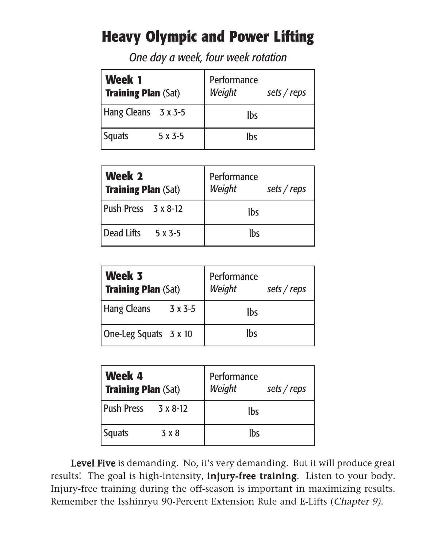## **Heavy Olympic and Power Lifting**

*One day a week, four week rotation*

| Week 1<br><b>Training Plan (Sat)</b> |         | Performance<br>Weight<br>sets / reps |  |  |  |  |  |
|--------------------------------------|---------|--------------------------------------|--|--|--|--|--|
| Hang Cleans 3 x 3-5                  |         | lbs                                  |  |  |  |  |  |
| <b>Squats</b>                        | $5x3-5$ | lbs                                  |  |  |  |  |  |

| Week 2<br><b>Training Plan (Sat)</b> | Performance<br>Weight<br>sets / $reps$ |
|--------------------------------------|----------------------------------------|
| Push Press 3 x 8-12                  | <b>lbs</b>                             |
| Dead Lifts<br>5 x 3-5                | <b>lbs</b>                             |

| Week 3<br>Training Plan (Sat) | Performance<br>Weight<br>sets / reps |
|-------------------------------|--------------------------------------|
| <b>Hang Cleans</b><br>3 x 3-5 | lbs                                  |
| One-Leg Squats 3 x 10         | lbs                                  |

| Week 4<br><b>Training Plan (Sat)</b> |                   | Performance<br>Weight | sets / $reps$ |
|--------------------------------------|-------------------|-----------------------|---------------|
| <b>Push Press</b>                    | $3 \times 8 - 12$ | Ibs                   |               |
| <b>Squats</b>                        | 3 x 8             | Ibs                   |               |

Level Five is demanding. No, it's very demanding. But it will produce great results! The goal is high-intensity, *injury-free training*. Listen to your body. Injury-free training during the off-season is important in maximizing results. Remember the Isshinryu 90-Percent Extension Rule and E-Lifts (Chapter 9).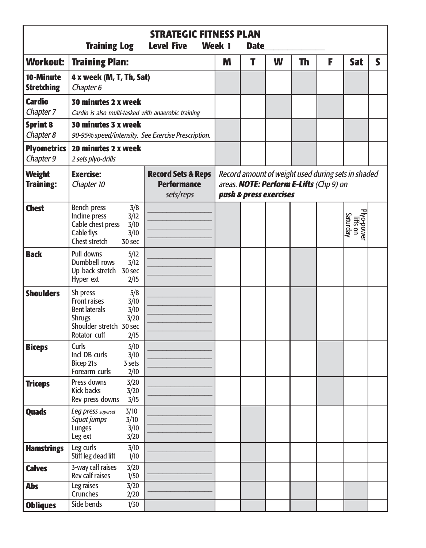|                                   | <b>Training Log</b>                                                                                                                                        | <b>STRATEGIC FITNESS PLAN</b><br>Week 1            | <b>Date</b> |                        |   |           |                                                                                               |                                    |   |
|-----------------------------------|------------------------------------------------------------------------------------------------------------------------------------------------------------|----------------------------------------------------|-------------|------------------------|---|-----------|-----------------------------------------------------------------------------------------------|------------------------------------|---|
| <b>Workout:</b>                   | <b>Training Plan:</b>                                                                                                                                      |                                                    | M           | Т                      | W | <b>Th</b> | F                                                                                             | <b>Sat</b>                         | S |
| 10-Minute<br><b>Stretching</b>    | 4 x week (M, T, Th, Sat)<br>Chapter 6                                                                                                                      |                                                    |             |                        |   |           |                                                                                               |                                    |   |
| <b>Cardio</b><br>Chapter 7        | 30 minutes 2 x week<br>Cardio is also multi-tasked with anaerobic training                                                                                 |                                                    |             |                        |   |           |                                                                                               |                                    |   |
| <b>Sprint 8</b><br>Chapter 8      | 30 minutes 3 x week                                                                                                                                        | 90-95% speed/intensity. See Exercise Prescription. |             |                        |   |           |                                                                                               |                                    |   |
| <b>Plyometrics</b><br>Chapter 9   | 20 minutes 2 x week<br>2 sets plyo-drills                                                                                                                  |                                                    |             |                        |   |           |                                                                                               |                                    |   |
| <b>Weight</b><br><b>Training:</b> | <b>Record Sets &amp; Reps</b><br><b>Exercise:</b><br><b>Performance</b><br>Chapter 10<br>sets/reps                                                         |                                                    |             | push & press exercises |   |           | Record amount of weight used during sets in shaded<br>areas. NOTE: Perform E-Lifts (Chp 9) on |                                    |   |
| <b>Chest</b>                      | Bench press<br>3/8<br>Incline press<br>3/12<br>Cable chest press<br>3/10<br>Cable flys<br>3/10<br>Chest stretch<br>30 sec                                  |                                                    |             |                        |   |           |                                                                                               | Plyo-power<br>lifts on<br>Saturday |   |
| <b>Back</b>                       | Pull downs<br>5/12<br>Dumbbell rows<br>3/12<br>Up back stretch 30 sec<br>Hyper ext<br>2/15                                                                 |                                                    |             |                        |   |           |                                                                                               |                                    |   |
| <b>Shoulders</b>                  | Sh press<br>5/8<br><b>Front raises</b><br>3/10<br><b>Bent laterals</b><br>3/10<br><b>Shrugs</b><br>3/20<br>Shoulder stretch 30 sec<br>Rotator cuff<br>2/15 |                                                    |             |                        |   |           |                                                                                               |                                    |   |
| <b>Biceps</b>                     | Curls<br>5/10<br>Incl DB curls<br>3/10<br>Bicep 21s<br>3 sets<br>Forearm curls<br>2/10                                                                     |                                                    |             |                        |   |           |                                                                                               |                                    |   |
| <b>Triceps</b>                    | Press downs<br>3/20<br>Kick backs<br>3/20<br>Rev press downs<br>3/15                                                                                       |                                                    |             |                        |   |           |                                                                                               |                                    |   |
| <b>Quads</b>                      | 3/10<br>Leg press superset<br>Squat jumps<br>3/10<br>Lunges<br>3/10<br>Leg ext<br>3/20                                                                     |                                                    |             |                        |   |           |                                                                                               |                                    |   |
| <b>Hamstrings</b>                 | Leg curls<br>3/10<br>Stiff leg dead lift<br>1/10                                                                                                           |                                                    |             |                        |   |           |                                                                                               |                                    |   |
| <b>Calves</b>                     | 3-way calf raises<br>3/20<br>Rev calf raises<br>1/50                                                                                                       |                                                    |             |                        |   |           |                                                                                               |                                    |   |
| <b>Abs</b><br><b>Obliques</b>     | Leg raises<br>3/20<br>Crunches<br>2/20<br>Side bends<br>1/30                                                                                               |                                                    |             |                        |   |           |                                                                                               |                                    |   |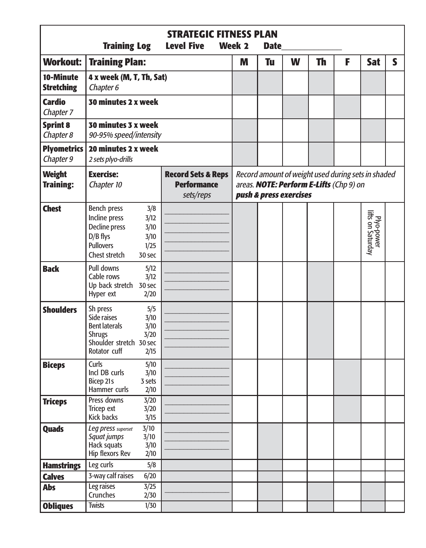|                                       | <b>Training Log</b>                                                                                                                         | <b>STRATEGIC FITNESS PLAN</b><br>Week 2                          | <b>Date</b> |                        |   |           |                                                                                               |                                 |   |
|---------------------------------------|---------------------------------------------------------------------------------------------------------------------------------------------|------------------------------------------------------------------|-------------|------------------------|---|-----------|-----------------------------------------------------------------------------------------------|---------------------------------|---|
| <b>Workout:</b>                       | <b>Training Plan:</b>                                                                                                                       |                                                                  | M           | Tu                     | W | <b>Th</b> | F                                                                                             | <b>Sat</b>                      | S |
| 10-Minute<br><b>Stretching</b>        | 4 x week (M, T, Th, Sat)<br>Chapter 6                                                                                                       |                                                                  |             |                        |   |           |                                                                                               |                                 |   |
| <b>Cardio</b><br>Chapter <sub>7</sub> | 30 minutes 2 x week                                                                                                                         |                                                                  |             |                        |   |           |                                                                                               |                                 |   |
| <b>Sprint 8</b><br>Chapter 8          | 30 minutes 3 x week<br>90-95% speed/intensity                                                                                               |                                                                  |             |                        |   |           |                                                                                               |                                 |   |
| <b>Plyometrics</b><br>Chapter 9       | 20 minutes 2 x week<br>2 sets plyo-drills                                                                                                   |                                                                  |             |                        |   |           |                                                                                               |                                 |   |
| <b>Weight</b><br><b>Training:</b>     | <b>Exercise:</b><br>Chapter 10                                                                                                              | <b>Record Sets &amp; Reps</b><br><b>Performance</b><br>sets/reps |             | push & press exercises |   |           | Record amount of weight used during sets in shaded<br>areas. NOTE: Perform E-Lifts (Chp 9) on |                                 |   |
| <b>Chest</b>                          | Bench press<br>Incline press<br>3/12<br>Decline press<br>3/10<br>D/B flys<br>3/10<br><b>Pullovers</b><br>1/25<br>Chest stretch<br>30 sec    | 3/8                                                              |             |                        |   |           |                                                                                               | Plyo-power<br>lifts on Saturday |   |
| <b>Back</b>                           | Pull downs<br>5/12<br>Cable rows<br>3/12<br>Up back stretch 30 sec<br>Hyper ext<br>2/20                                                     |                                                                  |             |                        |   |           |                                                                                               |                                 |   |
| <b>Shoulders</b>                      | Sh press<br>Side raises<br>3/10<br><b>Bent laterals</b><br>3/10<br><b>Shrugs</b><br>3/20<br>Shoulder stretch 30 sec<br>Rotator cuff<br>2/15 | 5/5                                                              |             |                        |   |           |                                                                                               |                                 |   |
| <b>Biceps</b>                         | Curls<br>5/10<br>Incl DB curls<br>3/10<br>Bicep 21s<br>3 sets<br>Hammer curls<br>2/10                                                       |                                                                  |             |                        |   |           |                                                                                               |                                 |   |
| <b>Triceps</b>                        | Press downs<br>3/20<br>Tricep ext<br>3/20<br><b>Kick backs</b><br>3/15                                                                      |                                                                  |             |                        |   |           |                                                                                               |                                 |   |
| <b>Quads</b>                          | 3/10<br>Leg press superset<br>Squat jumps<br>3/10<br>Hack squats<br>3/10<br>Hip flexors Rev<br>2/10                                         |                                                                  |             |                        |   |           |                                                                                               |                                 |   |
| <b>Hamstrings</b>                     | Leg curls                                                                                                                                   | 5/8                                                              |             |                        |   |           |                                                                                               |                                 |   |
| <b>Calves</b>                         | 3-way calf raises<br>6/20                                                                                                                   |                                                                  |             |                        |   |           |                                                                                               |                                 |   |
| <b>Abs</b><br><b>Obliques</b>         | $\frac{3}{25}$<br>Leg raises<br>Crunches<br>2/30<br><b>Twists</b><br>1/30                                                                   |                                                                  |             |                        |   |           |                                                                                               |                                 |   |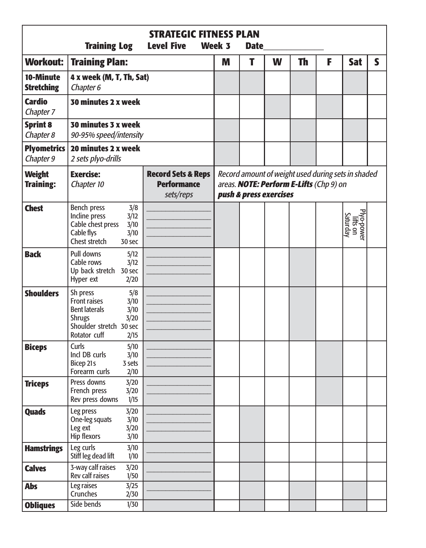|                                   | <b>Training Log</b>                                                                                                                                        | <b>STRATEGIC FITNESS PLAN</b><br>Week 3 | <b>Date</b> |                        |   |                                                                                               |   |                                    |   |
|-----------------------------------|------------------------------------------------------------------------------------------------------------------------------------------------------------|-----------------------------------------|-------------|------------------------|---|-----------------------------------------------------------------------------------------------|---|------------------------------------|---|
| <b>Workout:</b>                   | <b>Training Plan:</b>                                                                                                                                      |                                         | M           | T                      | W | Th                                                                                            | F | <b>Sat</b>                         | S |
| 10-Minute<br><b>Stretching</b>    | 4 x week (M, T, Th, Sat)<br>Chapter 6                                                                                                                      |                                         |             |                        |   |                                                                                               |   |                                    |   |
| <b>Cardio</b><br>Chapter 7        | 30 minutes 2 x week                                                                                                                                        |                                         |             |                        |   |                                                                                               |   |                                    |   |
| <b>Sprint 8</b><br>Chapter 8      | 30 minutes 3 x week<br>90-95% speed/intensity                                                                                                              |                                         |             |                        |   |                                                                                               |   |                                    |   |
| <b>Plyometrics</b><br>Chapter 9   | 20 minutes 2 x week<br>2 sets plyo-drills                                                                                                                  |                                         |             |                        |   |                                                                                               |   |                                    |   |
| <b>Weight</b><br><b>Training:</b> | <b>Exercise:</b><br><b>Record Sets &amp; Reps</b><br><b>Performance</b><br>Chapter 10<br>sets/reps                                                         |                                         |             | push & press exercises |   | Record amount of weight used during sets in shaded<br>areas. NOTE: Perform E-Lifts (Chp 9) on |   |                                    |   |
| <b>Chest</b>                      | Bench press<br>3/8<br>Incline press<br>3/12<br>Cable chest press<br>3/10<br>Cable flys<br>3/10<br>Chest stretch<br>30 sec                                  |                                         |             |                        |   |                                                                                               |   | Plyo-power<br>lifts on<br>Saturday |   |
| <b>Back</b>                       | Pull downs<br>5/12<br>Cable rows<br>3/12<br>Up back stretch 30 sec<br>Hyper ext<br>2/20                                                                    |                                         |             |                        |   |                                                                                               |   |                                    |   |
| <b>Shoulders</b>                  | Sh press<br>5/8<br><b>Front raises</b><br>3/10<br><b>Bent laterals</b><br>3/10<br><b>Shrugs</b><br>3/20<br>Shoulder stretch 30 sec<br>Rotator cuff<br>2/15 |                                         |             |                        |   |                                                                                               |   |                                    |   |
| <b>Biceps</b>                     | Curls<br>5/10<br>Incl DB curls<br>3/10<br>Bicep 21s<br>3 sets<br>Forearm curls<br>2/10                                                                     |                                         |             |                        |   |                                                                                               |   |                                    |   |
| <b>Triceps</b>                    | Press downs<br>3/20<br>French press<br>3/20<br>1/15<br>Rev press downs                                                                                     |                                         |             |                        |   |                                                                                               |   |                                    |   |
| <b>Quads</b>                      | Leg press<br>3/20<br>One-leg squats<br>3/10<br>Leg ext<br>3/20<br>Hip flexors<br>3/10                                                                      |                                         |             |                        |   |                                                                                               |   |                                    |   |
| <b>Hamstrings</b>                 | Leg curls<br>3/10<br>Stiff leg dead lift<br>1/10                                                                                                           |                                         |             |                        |   |                                                                                               |   |                                    |   |
| <b>Calves</b>                     | 3-way calf raises<br>3/20<br>Rev calf raises<br>1/50                                                                                                       |                                         |             |                        |   |                                                                                               |   |                                    |   |
| <b>Abs</b>                        | Leg raises<br>3/25<br>Crunches<br>2/30                                                                                                                     |                                         |             |                        |   |                                                                                               |   |                                    |   |
| <b>Obliques</b>                   | Side bends<br>1/30                                                                                                                                         |                                         |             |                        |   |                                                                                               |   |                                    |   |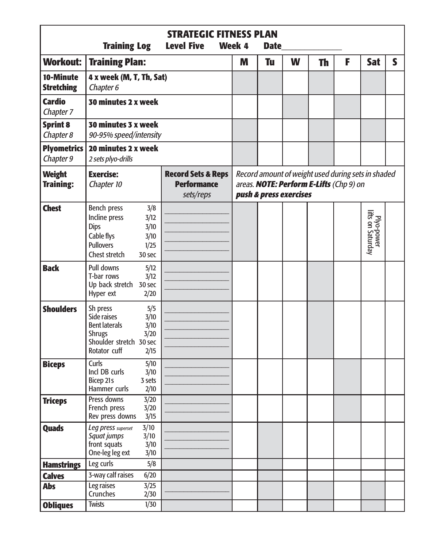|                                   | <b>Training Log</b>                                                                                                                                | <b>STRATEGIC FITNESS PLAN</b><br>Week 4                          | <b>Date</b> |           |                        |           |                                                                                               |                                 |   |
|-----------------------------------|----------------------------------------------------------------------------------------------------------------------------------------------------|------------------------------------------------------------------|-------------|-----------|------------------------|-----------|-----------------------------------------------------------------------------------------------|---------------------------------|---|
| Workout:                          | <b>Training Plan:</b>                                                                                                                              |                                                                  | M           | <b>Tu</b> | W                      | <b>Th</b> | F                                                                                             | <b>Sat</b>                      | S |
| 10-Minute<br><b>Stretching</b>    | 4 x week (M, T, Th, Sat)<br>Chapter 6                                                                                                              |                                                                  |             |           |                        |           |                                                                                               |                                 |   |
| <b>Cardio</b><br>Chapter 7        | 30 minutes 2 x week                                                                                                                                |                                                                  |             |           |                        |           |                                                                                               |                                 |   |
| <b>Sprint 8</b><br>Chapter 8      | 30 minutes 3 x week<br>90-95% speed/intensity                                                                                                      |                                                                  |             |           |                        |           |                                                                                               |                                 |   |
| <b>Plyometrics</b><br>Chapter 9   | 20 minutes 2 x week<br>2 sets plyo-drills                                                                                                          |                                                                  |             |           |                        |           |                                                                                               |                                 |   |
| <b>Weight</b><br><b>Training:</b> | <b>Exercise:</b><br>Chapter 10                                                                                                                     | <b>Record Sets &amp; Reps</b><br><b>Performance</b><br>sets/reps |             |           | push & press exercises |           | Record amount of weight used during sets in shaded<br>areas. NOTE: Perform E-Lifts (Chp 9) on |                                 |   |
| <b>Chest</b>                      | Bench press<br>3/8<br>Incline press<br>3/12<br><b>Dips</b><br>3/10<br>Cable flys<br>3/10<br><b>Pullovers</b><br>1/25<br>Chest stretch<br>30 sec    |                                                                  |             |           |                        |           |                                                                                               | Plyo-power<br>lifts on Saturday |   |
| <b>Back</b>                       | Pull downs<br>5/12<br>T-bar rows<br>3/12<br>Up back stretch 30 sec<br>Hyper ext<br>2/20                                                            |                                                                  |             |           |                        |           |                                                                                               |                                 |   |
| <b>Shoulders</b>                  | Sh press<br>5/5<br>Side raises<br>3/10<br><b>Bent laterals</b><br>3/10<br><b>Shrugs</b><br>3/20<br>Shoulder stretch 30 sec<br>Rotator cuff<br>2/15 |                                                                  |             |           |                        |           |                                                                                               |                                 |   |
| <b>Biceps</b>                     | Curls<br>5/10<br>Incl DB curls<br>3/10<br>Bicep 21s<br>3 sets<br>Hammer curls<br>2/10                                                              |                                                                  |             |           |                        |           |                                                                                               |                                 |   |
| <b>Triceps</b>                    | 3/20<br>Press downs<br>French press<br>3/20<br>Rev press downs<br>3/15                                                                             |                                                                  |             |           |                        |           |                                                                                               |                                 |   |
| <b>Quads</b>                      | 3/10<br>Leg press superset<br>Squat jumps<br>3/10<br>front squats<br>3/10<br>One-leg leg ext<br>3/10                                               |                                                                  |             |           |                        |           |                                                                                               |                                 |   |
| <b>Hamstrings</b>                 | Leg curls<br>5/8                                                                                                                                   |                                                                  |             |           |                        |           |                                                                                               |                                 |   |
| <b>Calves</b>                     | 3-way calf raises<br>6/20                                                                                                                          |                                                                  |             |           |                        |           |                                                                                               |                                 |   |
| <b>Abs</b>                        | Leg raises<br>3/25<br>Crunches<br>2/30                                                                                                             |                                                                  |             |           |                        |           |                                                                                               |                                 |   |
| <b>Obliques</b>                   | <b>Twists</b><br>1/30                                                                                                                              |                                                                  |             |           |                        |           |                                                                                               |                                 |   |